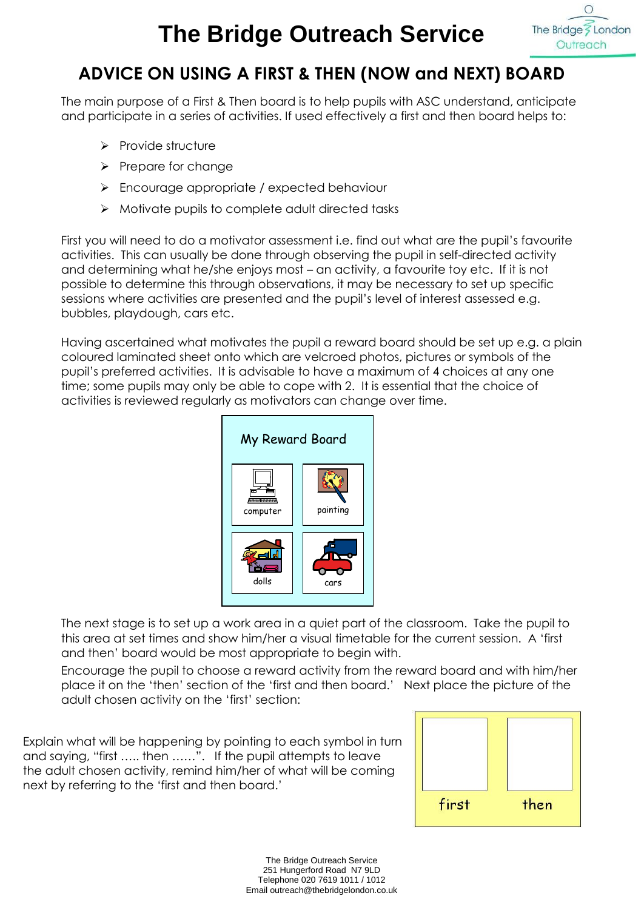## **The Bridge Outreach Service**



## **ADVICE ON USING A FIRST & THEN (NOW and NEXT) BOARD**

The main purpose of a First & Then board is to help pupils with ASC understand, anticipate and participate in a series of activities. If used effectively a first and then board helps to:

- $\triangleright$  Provide structure
- $\triangleright$  Prepare for change
- **Encourage appropriate / expected behaviour**
- $\triangleright$  Motivate pupils to complete adult directed tasks

First you will need to do a motivator assessment i.e. find out what are the pupil's favourite activities. This can usually be done through observing the pupil in self-directed activity and determining what he/she enjoys most – an activity, a favourite toy etc. If it is not possible to determine this through observations, it may be necessary to set up specific sessions where activities are presented and the pupil's level of interest assessed e.g. bubbles, playdough, cars etc.

Having ascertained what motivates the pupil a reward board should be set up e.g. a plain coloured laminated sheet onto which are velcroed photos, pictures or symbols of the pupil's preferred activities. It is advisable to have a maximum of 4 choices at any one time; some pupils may only be able to cope with 2. It is essential that the choice of activities is reviewed regularly as motivators can change over time.



The next stage is to set up a work area in a quiet part of the classroom. Take the pupil to this area at set times and show him/her a visual timetable for the current session. A 'first and then' board would be most appropriate to begin with.

Encourage the pupil to choose a reward activity from the reward board and with him/her place it on the 'then' section of the 'first and then board.' Next place the picture of the adult chosen activity on the 'first' section:

Explain what will be happening by pointing to each symbol in turn and saying, "first ….. then ……". If the pupil attempts to leave the adult chosen activity, remind him/her of what will be coming next by referring to the 'first and then board.'



The Bridge Outreach Service 251 Hungerford Road N7 9LD Telephone 020 7619 1011 / 1012 Email outreach@thebridgelondon.co.uk